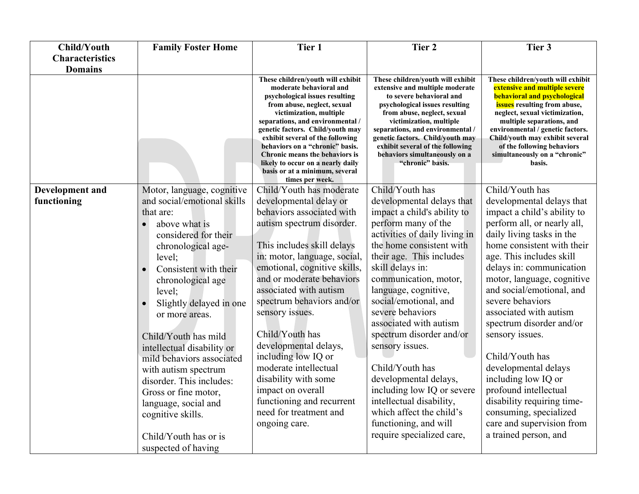| <b>Child/Youth</b>     | <b>Family Foster Home</b>   | Tier 1                                                                                                                                                                                                                                                                                                                                                                                                                                     | Tier <sub>2</sub>                                                                                                                                                                                                                                                                                                                                             | Tier 3                                                                                                                                                                                                                                                                                                                                                                 |
|------------------------|-----------------------------|--------------------------------------------------------------------------------------------------------------------------------------------------------------------------------------------------------------------------------------------------------------------------------------------------------------------------------------------------------------------------------------------------------------------------------------------|---------------------------------------------------------------------------------------------------------------------------------------------------------------------------------------------------------------------------------------------------------------------------------------------------------------------------------------------------------------|------------------------------------------------------------------------------------------------------------------------------------------------------------------------------------------------------------------------------------------------------------------------------------------------------------------------------------------------------------------------|
| <b>Characteristics</b> |                             |                                                                                                                                                                                                                                                                                                                                                                                                                                            |                                                                                                                                                                                                                                                                                                                                                               |                                                                                                                                                                                                                                                                                                                                                                        |
| <b>Domains</b>         |                             |                                                                                                                                                                                                                                                                                                                                                                                                                                            |                                                                                                                                                                                                                                                                                                                                                               |                                                                                                                                                                                                                                                                                                                                                                        |
|                        |                             | These children/youth will exhibit<br>moderate behavioral and<br>psychological issues resulting<br>from abuse, neglect, sexual<br>victimization, multiple<br>separations, and environmental /<br>genetic factors. Child/youth may<br>exhibit several of the following<br>behaviors on a "chronic" basis.<br><b>Chronic means the behaviors is</b><br>likely to occur on a nearly daily<br>basis or at a minimum, several<br>times per week. | These children/youth will exhibit<br>extensive and multiple moderate<br>to severe behavioral and<br>psychological issues resulting<br>from abuse, neglect, sexual<br>victimization, multiple<br>separations, and environmental /<br>genetic factors. Child/youth may<br>exhibit several of the following<br>behaviors simultaneously on a<br>"chronic" basis. | These children/youth will exhibit<br><b>extensive and multiple severe</b><br><b>behavioral and psychological</b><br><b>issues</b> resulting from abuse,<br>neglect, sexual victimization,<br>multiple separations, and<br>environmental / genetic factors.<br>Child/youth may exhibit several<br>of the following behaviors<br>simultaneously on a "chronic"<br>basis. |
| Development and        | Motor, language, cognitive  | Child/Youth has moderate                                                                                                                                                                                                                                                                                                                                                                                                                   | Child/Youth has                                                                                                                                                                                                                                                                                                                                               | Child/Youth has                                                                                                                                                                                                                                                                                                                                                        |
| functioning            | and social/emotional skills | developmental delay or                                                                                                                                                                                                                                                                                                                                                                                                                     | developmental delays that                                                                                                                                                                                                                                                                                                                                     | developmental delays that                                                                                                                                                                                                                                                                                                                                              |
|                        | that are:                   | behaviors associated with                                                                                                                                                                                                                                                                                                                                                                                                                  | impact a child's ability to                                                                                                                                                                                                                                                                                                                                   | impact a child's ability to                                                                                                                                                                                                                                                                                                                                            |
|                        | above what is               | autism spectrum disorder.                                                                                                                                                                                                                                                                                                                                                                                                                  | perform many of the                                                                                                                                                                                                                                                                                                                                           | perform all, or nearly all,                                                                                                                                                                                                                                                                                                                                            |
|                        | considered for their        |                                                                                                                                                                                                                                                                                                                                                                                                                                            | activities of daily living in                                                                                                                                                                                                                                                                                                                                 | daily living tasks in the                                                                                                                                                                                                                                                                                                                                              |
|                        | chronological age-          | This includes skill delays                                                                                                                                                                                                                                                                                                                                                                                                                 | the home consistent with                                                                                                                                                                                                                                                                                                                                      | home consistent with their                                                                                                                                                                                                                                                                                                                                             |
|                        | level;                      | in: motor, language, social,                                                                                                                                                                                                                                                                                                                                                                                                               | their age. This includes                                                                                                                                                                                                                                                                                                                                      | age. This includes skill                                                                                                                                                                                                                                                                                                                                               |
|                        | Consistent with their       | emotional, cognitive skills,<br>and or moderate behaviors                                                                                                                                                                                                                                                                                                                                                                                  | skill delays in:<br>communication, motor,                                                                                                                                                                                                                                                                                                                     | delays in: communication                                                                                                                                                                                                                                                                                                                                               |
|                        | chronological age           | associated with autism                                                                                                                                                                                                                                                                                                                                                                                                                     | language, cognitive,                                                                                                                                                                                                                                                                                                                                          | motor, language, cognitive<br>and social/emotional, and                                                                                                                                                                                                                                                                                                                |
|                        | level;                      | spectrum behaviors and/or                                                                                                                                                                                                                                                                                                                                                                                                                  | social/emotional, and                                                                                                                                                                                                                                                                                                                                         | severe behaviors                                                                                                                                                                                                                                                                                                                                                       |
|                        | Slightly delayed in one     | sensory issues.                                                                                                                                                                                                                                                                                                                                                                                                                            | severe behaviors                                                                                                                                                                                                                                                                                                                                              | associated with autism                                                                                                                                                                                                                                                                                                                                                 |
|                        | or more areas.              |                                                                                                                                                                                                                                                                                                                                                                                                                                            | associated with autism                                                                                                                                                                                                                                                                                                                                        | spectrum disorder and/or                                                                                                                                                                                                                                                                                                                                               |
|                        | Child/Youth has mild        | Child/Youth has                                                                                                                                                                                                                                                                                                                                                                                                                            | spectrum disorder and/or                                                                                                                                                                                                                                                                                                                                      | sensory issues.                                                                                                                                                                                                                                                                                                                                                        |
|                        | intellectual disability or  | developmental delays,                                                                                                                                                                                                                                                                                                                                                                                                                      | sensory issues.                                                                                                                                                                                                                                                                                                                                               |                                                                                                                                                                                                                                                                                                                                                                        |
|                        | mild behaviors associated   | including low IQ or                                                                                                                                                                                                                                                                                                                                                                                                                        |                                                                                                                                                                                                                                                                                                                                                               | Child/Youth has                                                                                                                                                                                                                                                                                                                                                        |
|                        | with autism spectrum        | moderate intellectual                                                                                                                                                                                                                                                                                                                                                                                                                      | Child/Youth has                                                                                                                                                                                                                                                                                                                                               | developmental delays                                                                                                                                                                                                                                                                                                                                                   |
|                        | disorder. This includes:    | disability with some                                                                                                                                                                                                                                                                                                                                                                                                                       | developmental delays,                                                                                                                                                                                                                                                                                                                                         | including low IQ or                                                                                                                                                                                                                                                                                                                                                    |
|                        | Gross or fine motor,        | impact on overall                                                                                                                                                                                                                                                                                                                                                                                                                          | including low IQ or severe                                                                                                                                                                                                                                                                                                                                    | profound intellectual                                                                                                                                                                                                                                                                                                                                                  |
|                        | language, social and        | functioning and recurrent                                                                                                                                                                                                                                                                                                                                                                                                                  | intellectual disability,                                                                                                                                                                                                                                                                                                                                      | disability requiring time-                                                                                                                                                                                                                                                                                                                                             |
|                        | cognitive skills.           | need for treatment and                                                                                                                                                                                                                                                                                                                                                                                                                     | which affect the child's                                                                                                                                                                                                                                                                                                                                      | consuming, specialized                                                                                                                                                                                                                                                                                                                                                 |
|                        |                             | ongoing care.                                                                                                                                                                                                                                                                                                                                                                                                                              | functioning, and will                                                                                                                                                                                                                                                                                                                                         | care and supervision from                                                                                                                                                                                                                                                                                                                                              |
|                        | Child/Youth has or is       |                                                                                                                                                                                                                                                                                                                                                                                                                                            | require specialized care,                                                                                                                                                                                                                                                                                                                                     | a trained person, and                                                                                                                                                                                                                                                                                                                                                  |
|                        | suspected of having         |                                                                                                                                                                                                                                                                                                                                                                                                                                            |                                                                                                                                                                                                                                                                                                                                                               |                                                                                                                                                                                                                                                                                                                                                                        |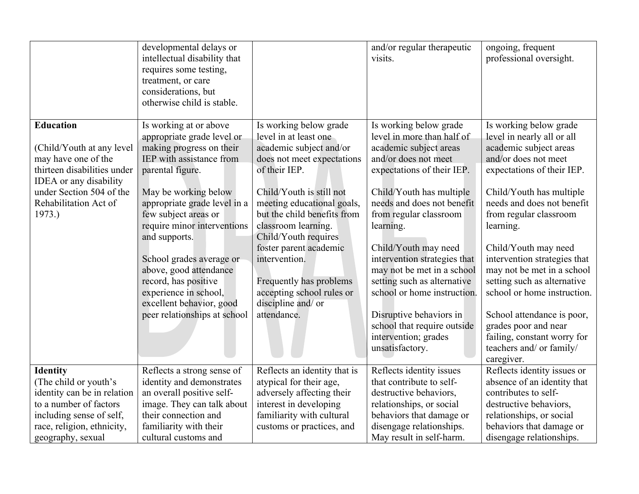|                                                                              | developmental delays or<br>intellectual disability that<br>requires some testing,<br>treatment, or care<br>considerations, but<br>otherwise child is stable. |                                                                                                                      | and/or regular therapeutic<br>visits.                                                                                                            | ongoing, frequent<br>professional oversight.                                                                                                     |
|------------------------------------------------------------------------------|--------------------------------------------------------------------------------------------------------------------------------------------------------------|----------------------------------------------------------------------------------------------------------------------|--------------------------------------------------------------------------------------------------------------------------------------------------|--------------------------------------------------------------------------------------------------------------------------------------------------|
| <b>Education</b><br>(Child/Youth at any level                                | Is working at or above<br>appropriate grade level or<br>making progress on their                                                                             | Is working below grade<br>level in at least one<br>academic subject and/or                                           | Is working below grade<br>level in more than half of<br>academic subject areas                                                                   | Is working below grade<br>level in nearly all or all<br>academic subject areas                                                                   |
| may have one of the<br>thirteen disabilities under<br>IDEA or any disability | IEP with assistance from<br>parental figure.                                                                                                                 | does not meet expectations<br>of their IEP.                                                                          | and/or does not meet<br>expectations of their IEP.                                                                                               | and/or does not meet<br>expectations of their IEP.                                                                                               |
| under Section 504 of the<br>Rehabilitation Act of                            | May be working below<br>appropriate grade level in a                                                                                                         | Child/Youth is still not<br>meeting educational goals,                                                               | Child/Youth has multiple<br>needs and does not benefit                                                                                           | Child/Youth has multiple<br>needs and does not benefit                                                                                           |
| 1973.)                                                                       | few subject areas or<br>require minor interventions<br>and supports.                                                                                         | but the child benefits from<br>classroom learning.<br>Child/Youth requires                                           | from regular classroom<br>learning.                                                                                                              | from regular classroom<br>learning.                                                                                                              |
|                                                                              | School grades average or<br>above, good attendance<br>record, has positive<br>experience in school,<br>excellent behavior, good                              | foster parent academic<br>intervention.<br>Frequently has problems<br>accepting school rules or<br>discipline and/or | Child/Youth may need<br>intervention strategies that<br>may not be met in a school<br>setting such as alternative<br>school or home instruction. | Child/Youth may need<br>intervention strategies that<br>may not be met in a school<br>setting such as alternative<br>school or home instruction. |
|                                                                              | peer relationships at school                                                                                                                                 | attendance.                                                                                                          | Disruptive behaviors in<br>school that require outside<br>intervention; grades<br>unsatisfactory.                                                | School attendance is poor,<br>grades poor and near<br>failing, constant worry for<br>teachers and/ or family/<br>caregiver.                      |
| <b>Identity</b>                                                              | Reflects a strong sense of                                                                                                                                   | Reflects an identity that is                                                                                         | Reflects identity issues                                                                                                                         | Reflects identity issues or                                                                                                                      |
| (The child or youth's                                                        | identity and demonstrates                                                                                                                                    | atypical for their age,                                                                                              | that contribute to self-                                                                                                                         | absence of an identity that                                                                                                                      |
| identity can be in relation                                                  | an overall positive self-                                                                                                                                    | adversely affecting their                                                                                            | destructive behaviors,                                                                                                                           | contributes to self-                                                                                                                             |
| to a number of factors                                                       | image. They can talk about                                                                                                                                   | interest in developing                                                                                               | relationships, or social                                                                                                                         | destructive behaviors,                                                                                                                           |
| including sense of self,                                                     | their connection and                                                                                                                                         | familiarity with cultural                                                                                            | behaviors that damage or                                                                                                                         | relationships, or social                                                                                                                         |
| race, religion, ethnicity,<br>geography, sexual                              | familiarity with their<br>cultural customs and                                                                                                               | customs or practices, and                                                                                            | disengage relationships.<br>May result in self-harm.                                                                                             | behaviors that damage or<br>disengage relationships.                                                                                             |
|                                                                              |                                                                                                                                                              |                                                                                                                      |                                                                                                                                                  |                                                                                                                                                  |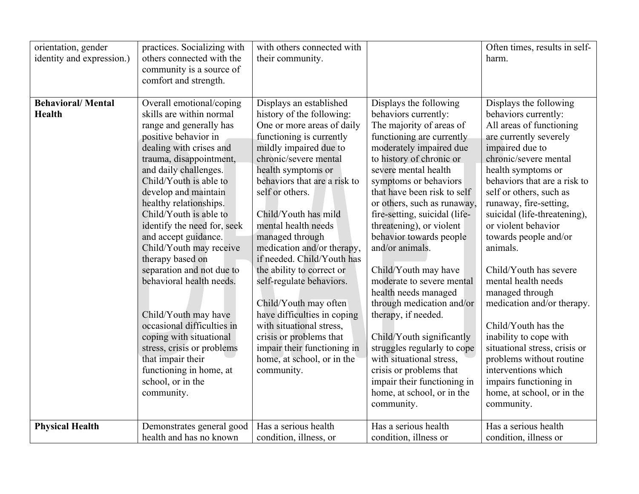| orientation, gender<br>identity and expression.) | practices. Socializing with<br>others connected with the<br>community is a source of<br>comfort and strength.                                                                                                                                                                                                                                                                                                                                                                                                                                                                                                                                   | with others connected with<br>their community.                                                                                                                                                                                                                                                                                                                                                                                                                                                                                                                                                                              |                                                                                                                                                                                                                                                                                                                                                                                                                                                                                                                                                                                                                                                                             | Often times, results in self-<br>harm.                                                                                                                                                                                                                                                                                                                                                                                                                                                                                                                                                                                   |
|--------------------------------------------------|-------------------------------------------------------------------------------------------------------------------------------------------------------------------------------------------------------------------------------------------------------------------------------------------------------------------------------------------------------------------------------------------------------------------------------------------------------------------------------------------------------------------------------------------------------------------------------------------------------------------------------------------------|-----------------------------------------------------------------------------------------------------------------------------------------------------------------------------------------------------------------------------------------------------------------------------------------------------------------------------------------------------------------------------------------------------------------------------------------------------------------------------------------------------------------------------------------------------------------------------------------------------------------------------|-----------------------------------------------------------------------------------------------------------------------------------------------------------------------------------------------------------------------------------------------------------------------------------------------------------------------------------------------------------------------------------------------------------------------------------------------------------------------------------------------------------------------------------------------------------------------------------------------------------------------------------------------------------------------------|--------------------------------------------------------------------------------------------------------------------------------------------------------------------------------------------------------------------------------------------------------------------------------------------------------------------------------------------------------------------------------------------------------------------------------------------------------------------------------------------------------------------------------------------------------------------------------------------------------------------------|
| <b>Behavioral/Mental</b><br><b>Health</b>        | Overall emotional/coping<br>skills are within normal<br>range and generally has<br>positive behavior in<br>dealing with crises and<br>trauma, disappointment,<br>and daily challenges.<br>Child/Youth is able to<br>develop and maintain<br>healthy relationships.<br>Child/Youth is able to<br>identify the need for, seek<br>and accept guidance.<br>Child/Youth may receive<br>therapy based on<br>separation and not due to<br>behavioral health needs.<br>Child/Youth may have<br>occasional difficulties in<br>coping with situational<br>stress, crisis or problems<br>that impair their<br>functioning in home, at<br>school, or in the | Displays an established<br>history of the following:<br>One or more areas of daily<br>functioning is currently<br>mildly impaired due to<br>chronic/severe mental<br>health symptoms or<br>behaviors that are a risk to<br>self or others.<br>Child/Youth has mild<br>mental health needs<br>managed through<br>medication and/or therapy,<br>if needed. Child/Youth has<br>the ability to correct or<br>self-regulate behaviors.<br>Child/Youth may often<br>have difficulties in coping<br>with situational stress,<br>crisis or problems that<br>impair their functioning in<br>home, at school, or in the<br>community. | Displays the following<br>behaviors currently:<br>The majority of areas of<br>functioning are currently<br>moderately impaired due<br>to history of chronic or<br>severe mental health<br>symptoms or behaviors<br>that have been risk to self<br>or others, such as runaway,<br>fire-setting, suicidal (life-<br>threatening), or violent<br>behavior towards people<br>and/or animals.<br>Child/Youth may have<br>moderate to severe mental<br>health needs managed<br>through medication and/or<br>therapy, if needed.<br>Child/Youth significantly<br>struggles regularly to cope<br>with situational stress,<br>crisis or problems that<br>impair their functioning in | Displays the following<br>behaviors currently:<br>All areas of functioning<br>are currently severely<br>impaired due to<br>chronic/severe mental<br>health symptoms or<br>behaviors that are a risk to<br>self or others, such as<br>runaway, fire-setting,<br>suicidal (life-threatening),<br>or violent behavior<br>towards people and/or<br>animals.<br>Child/Youth has severe<br>mental health needs<br>managed through<br>medication and/or therapy.<br>Child/Youth has the<br>inability to cope with<br>situational stress, crisis or<br>problems without routine<br>interventions which<br>impairs functioning in |
|                                                  | community.                                                                                                                                                                                                                                                                                                                                                                                                                                                                                                                                                                                                                                      |                                                                                                                                                                                                                                                                                                                                                                                                                                                                                                                                                                                                                             | home, at school, or in the<br>community.                                                                                                                                                                                                                                                                                                                                                                                                                                                                                                                                                                                                                                    | home, at school, or in the<br>community.                                                                                                                                                                                                                                                                                                                                                                                                                                                                                                                                                                                 |
| <b>Physical Health</b>                           | Demonstrates general good<br>health and has no known                                                                                                                                                                                                                                                                                                                                                                                                                                                                                                                                                                                            | Has a serious health<br>condition, illness, or                                                                                                                                                                                                                                                                                                                                                                                                                                                                                                                                                                              | Has a serious health<br>condition, illness or                                                                                                                                                                                                                                                                                                                                                                                                                                                                                                                                                                                                                               | Has a serious health<br>condition, illness or                                                                                                                                                                                                                                                                                                                                                                                                                                                                                                                                                                            |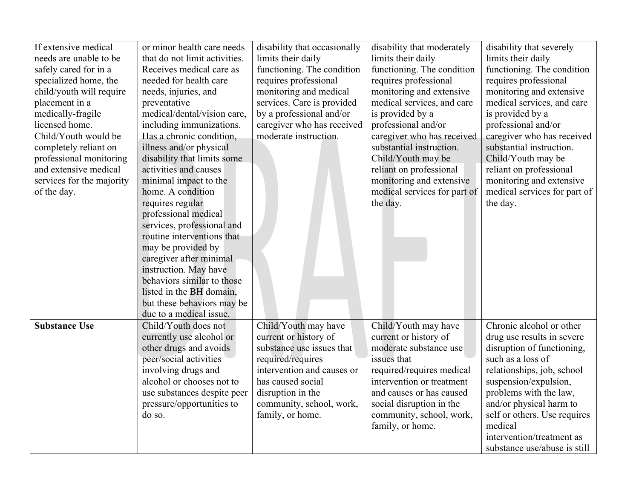| If extensive medical      | or minor health care needs    | disability that occasionally | disability that moderately   | disability that severely     |
|---------------------------|-------------------------------|------------------------------|------------------------------|------------------------------|
| needs are unable to be    | that do not limit activities. | limits their daily           | limits their daily           | limits their daily           |
| safely cared for in a     | Receives medical care as      | functioning. The condition   | functioning. The condition   | functioning. The condition   |
| specialized home, the     | needed for health care        | requires professional        | requires professional        | requires professional        |
| child/youth will require  | needs, injuries, and          | monitoring and medical       | monitoring and extensive     | monitoring and extensive     |
| placement in a            | preventative                  | services. Care is provided   | medical services, and care   | medical services, and care   |
| medically-fragile         | medical/dental/vision care,   | by a professional and/or     | is provided by a             | is provided by a             |
| licensed home.            | including immunizations.      | caregiver who has received   | professional and/or          | professional and/or          |
| Child/Youth would be      | Has a chronic condition,      | moderate instruction.        | caregiver who has received   | caregiver who has received   |
| completely reliant on     | illness and/or physical       |                              | substantial instruction.     | substantial instruction.     |
| professional monitoring   | disability that limits some   |                              | Child/Youth may be           | Child/Youth may be           |
| and extensive medical     | activities and causes         |                              | reliant on professional      | reliant on professional      |
| services for the majority | minimal impact to the         |                              | monitoring and extensive     | monitoring and extensive     |
| of the day.               | home. A condition             |                              | medical services for part of | medical services for part of |
|                           | requires regular              |                              | the day.                     | the day.                     |
|                           | professional medical          |                              |                              |                              |
|                           | services, professional and    |                              |                              |                              |
|                           | routine interventions that    |                              |                              |                              |
|                           | may be provided by            |                              |                              |                              |
|                           | caregiver after minimal       |                              |                              |                              |
|                           | instruction. May have         |                              |                              |                              |
|                           | behaviors similar to those    |                              |                              |                              |
|                           | listed in the BH domain,      |                              |                              |                              |
|                           | but these behaviors may be    |                              |                              |                              |
|                           | due to a medical issue.       |                              |                              |                              |
| <b>Substance Use</b>      | Child/Youth does not          | Child/Youth may have         | Child/Youth may have         | Chronic alcohol or other     |
|                           | currently use alcohol or      | current or history of        | current or history of        | drug use results in severe   |
|                           | other drugs and avoids        | substance use issues that    | moderate substance use       | disruption of functioning,   |
|                           | peer/social activities        | required/requires            | issues that                  | such as a loss of            |
|                           | involving drugs and           | intervention and causes or   | required/requires medical    | relationships, job, school   |
|                           | alcohol or chooses not to     | has caused social            | intervention or treatment    | suspension/expulsion,        |
|                           | use substances despite peer   | disruption in the            | and causes or has caused     | problems with the law,       |
|                           | pressure/opportunities to     | community, school, work,     | social disruption in the     | and/or physical harm to      |
|                           | do so.                        | family, or home.             | community, school, work,     | self or others. Use requires |
|                           |                               |                              | family, or home.             | medical                      |
|                           |                               |                              |                              | intervention/treatment as    |
|                           |                               |                              |                              | substance use/abuse is still |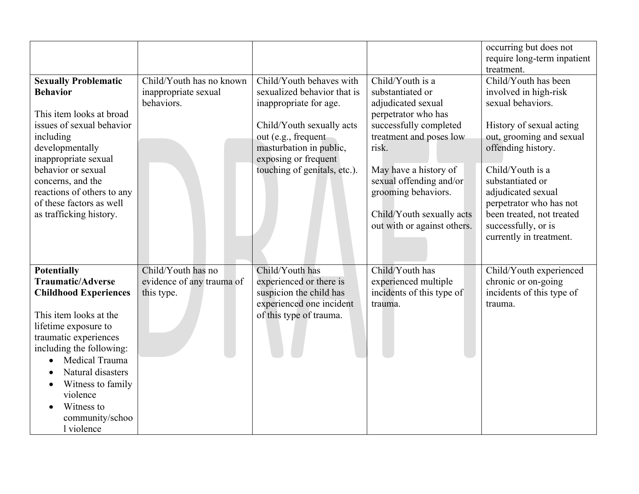|                                                                                                                                                                                                                                                                                                                           |                                                                |                                                                                                                                                                                                                          |                                                                                                                                                                                                                                                                                        | occurring but does not<br>require long-term inpatient<br>treatment.                                                                                                                                                                                                                                                      |
|---------------------------------------------------------------------------------------------------------------------------------------------------------------------------------------------------------------------------------------------------------------------------------------------------------------------------|----------------------------------------------------------------|--------------------------------------------------------------------------------------------------------------------------------------------------------------------------------------------------------------------------|----------------------------------------------------------------------------------------------------------------------------------------------------------------------------------------------------------------------------------------------------------------------------------------|--------------------------------------------------------------------------------------------------------------------------------------------------------------------------------------------------------------------------------------------------------------------------------------------------------------------------|
| <b>Sexually Problematic</b><br><b>Behavior</b><br>This item looks at broad<br>issues of sexual behavior<br>including<br>developmentally<br>inappropriate sexual<br>behavior or sexual<br>concerns, and the<br>reactions of others to any<br>of these factors as well<br>as trafficking history.                           | Child/Youth has no known<br>inappropriate sexual<br>behaviors. | Child/Youth behaves with<br>sexualized behavior that is<br>inappropriate for age.<br>Child/Youth sexually acts<br>out (e.g., frequent<br>masturbation in public,<br>exposing or frequent<br>touching of genitals, etc.). | Child/Youth is a<br>substantiated or<br>adjudicated sexual<br>perpetrator who has<br>successfully completed<br>treatment and poses low<br>risk.<br>May have a history of<br>sexual offending and/or<br>grooming behaviors.<br>Child/Youth sexually acts<br>out with or against others. | Child/Youth has been<br>involved in high-risk<br>sexual behaviors.<br>History of sexual acting<br>out, grooming and sexual<br>offending history.<br>Child/Youth is a<br>substantiated or<br>adjudicated sexual<br>perpetrator who has not<br>been treated, not treated<br>successfully, or is<br>currently in treatment. |
| <b>Potentially</b><br><b>Traumatic/Adverse</b><br><b>Childhood Experiences</b><br>This item looks at the<br>lifetime exposure to<br>traumatic experiences<br>including the following:<br>Medical Trauma<br>$\bullet$<br>Natural disasters<br>Witness to family<br>violence<br>Witness to<br>community/schoo<br>1 violence | Child/Youth has no<br>evidence of any trauma of<br>this type.  | Child/Youth has<br>experienced or there is<br>suspicion the child has<br>experienced one incident<br>of this type of trauma.                                                                                             | Child/Youth has<br>experienced multiple<br>incidents of this type of<br>trauma.                                                                                                                                                                                                        | Child/Youth experienced<br>chronic or on-going<br>incidents of this type of<br>trauma.                                                                                                                                                                                                                                   |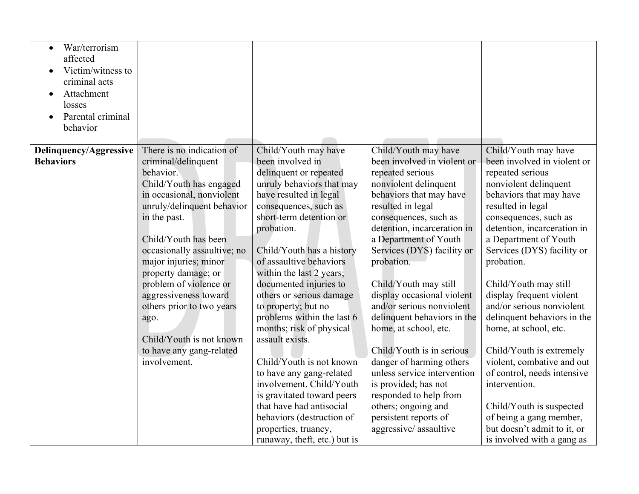| War/terrorism<br>$\bullet$<br>affected<br>Victim/witness to<br>$\bullet$<br>criminal acts<br>Attachment<br>losses<br>Parental criminal<br>behavior |                                                                                                                                                                                                                                                                                                                                                                                                                                            |                                                                                                                                                                                                                                                                                                                                                                                                                                                                                                                                                                                                                                                                              |                                                                                                                                                                                                                                                                                                                                                                                                                                                                                                                                                                                                                                              |                                                                                                                                                                                                                                                                                                                                                                                                                                                                                                                                                                                                                                                       |
|----------------------------------------------------------------------------------------------------------------------------------------------------|--------------------------------------------------------------------------------------------------------------------------------------------------------------------------------------------------------------------------------------------------------------------------------------------------------------------------------------------------------------------------------------------------------------------------------------------|------------------------------------------------------------------------------------------------------------------------------------------------------------------------------------------------------------------------------------------------------------------------------------------------------------------------------------------------------------------------------------------------------------------------------------------------------------------------------------------------------------------------------------------------------------------------------------------------------------------------------------------------------------------------------|----------------------------------------------------------------------------------------------------------------------------------------------------------------------------------------------------------------------------------------------------------------------------------------------------------------------------------------------------------------------------------------------------------------------------------------------------------------------------------------------------------------------------------------------------------------------------------------------------------------------------------------------|-------------------------------------------------------------------------------------------------------------------------------------------------------------------------------------------------------------------------------------------------------------------------------------------------------------------------------------------------------------------------------------------------------------------------------------------------------------------------------------------------------------------------------------------------------------------------------------------------------------------------------------------------------|
| Delinquency/Aggressive<br><b>Behaviors</b>                                                                                                         | There is no indication of<br>criminal/delinquent<br>behavior.<br>Child/Youth has engaged<br>in occasional, nonviolent<br>unruly/delinquent behavior<br>in the past.<br>Child/Youth has been<br>occasionally assaultive; no<br>major injuries; minor<br>property damage; or<br>problem of violence or<br>aggressiveness toward<br>others prior to two years<br>ago.<br>Child/Youth is not known<br>to have any gang-related<br>involvement. | Child/Youth may have<br>been involved in<br>delinquent or repeated<br>unruly behaviors that may<br>have resulted in legal<br>consequences, such as<br>short-term detention or<br>probation.<br>Child/Youth has a history<br>of assaultive behaviors<br>within the last 2 years;<br>documented injuries to<br>others or serious damage<br>to property; but no<br>problems within the last 6<br>months; risk of physical<br>assault exists.<br>Child/Youth is not known<br>to have any gang-related<br>involvement. Child/Youth<br>is gravitated toward peers<br>that have had antisocial<br>behaviors (destruction of<br>properties, truancy,<br>runaway, theft, etc.) but is | Child/Youth may have<br>been involved in violent or<br>repeated serious<br>nonviolent delinquent<br>behaviors that may have<br>resulted in legal<br>consequences, such as<br>detention, incarceration in<br>a Department of Youth<br>Services (DYS) facility or<br>probation.<br>Child/Youth may still<br>display occasional violent<br>and/or serious nonviolent<br>delinquent behaviors in the<br>home, at school, etc.<br>Child/Youth is in serious<br>danger of harming others<br>unless service intervention<br>is provided; has not<br>responded to help from<br>others; ongoing and<br>persistent reports of<br>aggressive/assaultive | Child/Youth may have<br>been involved in violent or<br>repeated serious<br>nonviolent delinquent<br>behaviors that may have<br>resulted in legal<br>consequences, such as<br>detention, incarceration in<br>a Department of Youth<br>Services (DYS) facility or<br>probation.<br>Child/Youth may still<br>display frequent violent<br>and/or serious nonviolent<br>delinquent behaviors in the<br>home, at school, etc.<br>Child/Youth is extremely<br>violent, combative and out<br>of control, needs intensive<br>intervention.<br>Child/Youth is suspected<br>of being a gang member,<br>but doesn't admit to it, or<br>is involved with a gang as |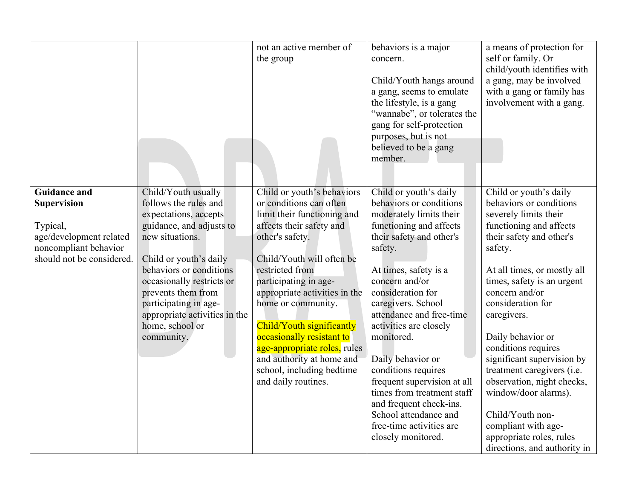|                                                                                                                                        |                                                                                                                                                                                                                                                                                                                         | not an active member of<br>the group                                                                                                                                                                                                                                                                                                                                                                                                           | behaviors is a major<br>concern.<br>Child/Youth hangs around<br>a gang, seems to emulate<br>the lifestyle, is a gang<br>"wannabe", or tolerates the<br>gang for self-protection<br>purposes, but is not<br>believed to be a gang<br>member.                                                                                                                                                                                                                                                                             | a means of protection for<br>self or family. Or<br>child/youth identifies with<br>a gang, may be involved<br>with a gang or family has<br>involvement with a gang.                                                                                                                                                                                                                                                                                                                                                                   |
|----------------------------------------------------------------------------------------------------------------------------------------|-------------------------------------------------------------------------------------------------------------------------------------------------------------------------------------------------------------------------------------------------------------------------------------------------------------------------|------------------------------------------------------------------------------------------------------------------------------------------------------------------------------------------------------------------------------------------------------------------------------------------------------------------------------------------------------------------------------------------------------------------------------------------------|-------------------------------------------------------------------------------------------------------------------------------------------------------------------------------------------------------------------------------------------------------------------------------------------------------------------------------------------------------------------------------------------------------------------------------------------------------------------------------------------------------------------------|--------------------------------------------------------------------------------------------------------------------------------------------------------------------------------------------------------------------------------------------------------------------------------------------------------------------------------------------------------------------------------------------------------------------------------------------------------------------------------------------------------------------------------------|
| <b>Guidance and</b><br><b>Supervision</b><br>Typical,<br>age/development related<br>noncompliant behavior<br>should not be considered. | Child/Youth usually<br>follows the rules and<br>expectations, accepts<br>guidance, and adjusts to<br>new situations.<br>Child or youth's daily<br>behaviors or conditions<br>occasionally restricts or<br>prevents them from<br>participating in age-<br>appropriate activities in the<br>home, school or<br>community. | Child or youth's behaviors<br>or conditions can often<br>limit their functioning and<br>affects their safety and<br>other's safety.<br>Child/Youth will often be<br>restricted from<br>participating in age-<br>appropriate activities in the<br>home or community.<br>Child/Youth significantly<br>occasionally resistant to<br>age-appropriate roles, rules<br>and authority at home and<br>school, including bedtime<br>and daily routines. | Child or youth's daily<br>behaviors or conditions<br>moderately limits their<br>functioning and affects<br>their safety and other's<br>safety.<br>At times, safety is a<br>concern and/or<br>consideration for<br>caregivers. School<br>attendance and free-time<br>activities are closely<br>monitored.<br>Daily behavior or<br>conditions requires<br>frequent supervision at all<br>times from treatment staff<br>and frequent check-ins.<br>School attendance and<br>free-time activities are<br>closely monitored. | Child or youth's daily<br>behaviors or conditions<br>severely limits their<br>functioning and affects<br>their safety and other's<br>safety.<br>At all times, or mostly all<br>times, safety is an urgent<br>concern and/or<br>consideration for<br>caregivers.<br>Daily behavior or<br>conditions requires<br>significant supervision by<br>treatment caregivers (i.e.<br>observation, night checks,<br>window/door alarms).<br>Child/Youth non-<br>compliant with age-<br>appropriate roles, rules<br>directions, and authority in |